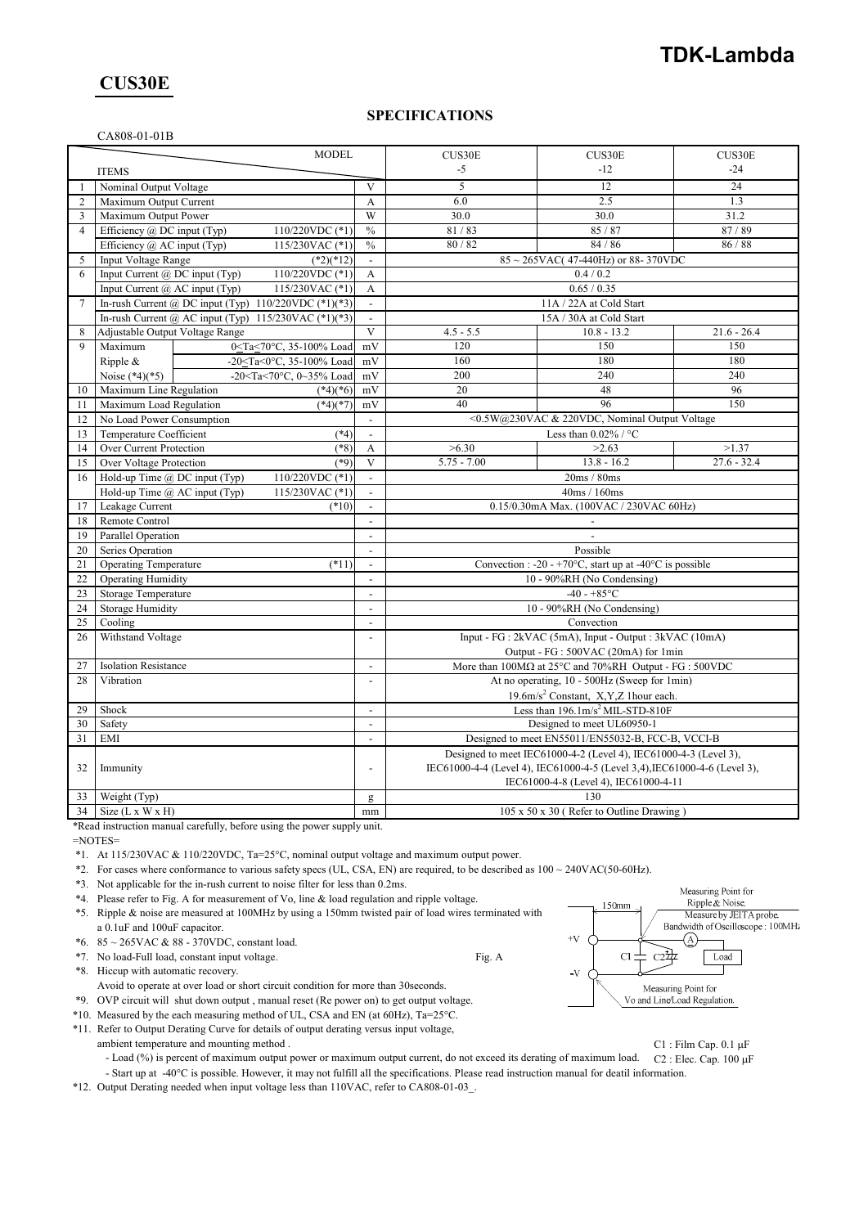### **CUS30E**

### **SPECIFICATIONS**

| CA808-01-01B |  |  |  |  |  |
|--------------|--|--|--|--|--|
|--------------|--|--|--|--|--|

| <b>MODEL</b>   |                                                                          |                                            | CUS30E                                                                      | CUS30E                                                                                                                                                                                 | CUS30E        |  |
|----------------|--------------------------------------------------------------------------|--------------------------------------------|-----------------------------------------------------------------------------|----------------------------------------------------------------------------------------------------------------------------------------------------------------------------------------|---------------|--|
|                | <b>ITEMS</b>                                                             |                                            | $-5$                                                                        | $-12$                                                                                                                                                                                  | $-24$         |  |
| 1              | Nominal Output Voltage                                                   | V                                          | 5                                                                           | 12                                                                                                                                                                                     | 24            |  |
| $\overline{2}$ | Maximum Output Current                                                   | A                                          | 6.0                                                                         | 2.5                                                                                                                                                                                    | 1.3           |  |
| 3              | Maximum Output Power                                                     | W                                          | 30.0                                                                        | 30.0                                                                                                                                                                                   | 31.2          |  |
| $\overline{4}$ | 110/220VDC $(*1)$<br>Efficiency @ DC input (Typ)                         | $\frac{0}{0}$                              | 81/83                                                                       | 85/87                                                                                                                                                                                  | 87/89         |  |
|                | Efficiency $(a)$ AC input (Typ)<br>115/230VAC (*1)                       | $\%$                                       | 80 / 82                                                                     | 84/86                                                                                                                                                                                  | 86 / 88       |  |
| 5              | <b>Input Voltage Range</b><br>$(*2)(*12)$                                | $\blacksquare$                             |                                                                             | $85 \sim 265$ VAC(47-440Hz) or 88-370VDC                                                                                                                                               |               |  |
| 6              | Input Current @ DC input (Typ)<br>110/220VDC (*1)                        | $\mathbf{A}$                               |                                                                             | 0.4 / 0.2                                                                                                                                                                              |               |  |
|                | Input Current $\omega$ AC input (Typ)<br>115/230VAC (*1)                 | A                                          | 0.65 / 0.35                                                                 |                                                                                                                                                                                        |               |  |
| 7              | In-rush Current @ DC input (Typ) $110/220$ VDC (*1)(*3)                  | $\blacksquare$                             | 11A / 22A at Cold Start                                                     |                                                                                                                                                                                        |               |  |
|                | In-rush Current @ AC input (Typ) $115/230\text{VAC}$ (*1)(*3)            | $\blacksquare$                             | 15A / 30A at Cold Start                                                     |                                                                                                                                                                                        |               |  |
| 8              | Adjustable Output Voltage Range                                          | $\overline{\mathbf{V}}$                    | $4.5 - 5.5$                                                                 | $10.8 - 13.2$                                                                                                                                                                          | $21.6 - 26.4$ |  |
| $\mathbf Q$    | 0 <ta<70°c, 35-100%="" load<br="">Maximum</ta<70°c,>                     | mV                                         | 120                                                                         | 150                                                                                                                                                                                    | 150           |  |
|                | -20 <ta<0°c, 35-100%="" load<br="">Ripple &amp;</ta<0°c,>                | mV                                         | 160                                                                         | 180                                                                                                                                                                                    | 180           |  |
|                | -20 <ta<70°c, 0~35%="" load<br="">Noise <math>(*4)(*5)</math></ta<70°c,> | mV                                         | 200                                                                         | 240                                                                                                                                                                                    | 240           |  |
| 10             | Maximum Line Regulation<br>$(*4)(*6)$                                    | mV                                         | 20                                                                          | 48                                                                                                                                                                                     | 96            |  |
| 11             | Maximum Load Regulation<br>$(*4)(*7)$                                    | mV                                         | 40                                                                          | 96                                                                                                                                                                                     | 150           |  |
| 12             | No Load Power Consumption                                                | $\blacksquare$                             |                                                                             | <0.5W@230VAC & 220VDC, Nominal Output Voltage                                                                                                                                          |               |  |
| 13             | Temperature Coefficient<br>$(*4)$                                        | $\overline{a}$                             |                                                                             | Less than $0.02\%$ / °C                                                                                                                                                                |               |  |
| 14             | $(*8)$<br>Over Current Protection                                        | $\mathbf{A}$                               | >6.30                                                                       | >2.63                                                                                                                                                                                  | >1.37         |  |
| 15             | Over Voltage Protection<br>$(*9)$                                        | V                                          | $5.75 - 7.00$                                                               | $13.8 - 16.2$                                                                                                                                                                          | $27.6 - 32.4$ |  |
| 16             | Hold-up Time @ DC input (Typ)<br>110/220VDC (*1)                         |                                            |                                                                             | 20ms / 80ms                                                                                                                                                                            |               |  |
|                | Hold-up Time @ AC input (Typ)<br>115/230VAC (*1)                         | $\sim$                                     |                                                                             | 40ms / 160ms                                                                                                                                                                           |               |  |
| 17             | Leakage Current<br>$(*10)$                                               | $\blacksquare$                             |                                                                             | 0.15/0.30mA Max. (100VAC / 230VAC 60Hz)                                                                                                                                                |               |  |
| 18             | Remote Control                                                           | $\overline{a}$                             |                                                                             |                                                                                                                                                                                        |               |  |
| 19             | Parallel Operation                                                       | $\blacksquare$                             |                                                                             |                                                                                                                                                                                        |               |  |
| 20             | Series Operation                                                         |                                            |                                                                             | Possible                                                                                                                                                                               |               |  |
| 21             | <b>Operating Temperature</b><br>$(*11)$                                  | $\blacksquare$<br>$\blacksquare$           | Convection : -20 - +70 $\degree$ C, start up at -40 $\degree$ C is possible |                                                                                                                                                                                        |               |  |
| 23             | 22<br><b>Operating Humidity</b>                                          |                                            | 10 - 90%RH (No Condensing)<br>$-40 - +85$ °C                                |                                                                                                                                                                                        |               |  |
| 24             | <b>Storage Temperature</b><br><b>Storage Humidity</b>                    | $\blacksquare$<br>$\overline{\phantom{a}}$ |                                                                             | 10 - 90%RH (No Condensing)                                                                                                                                                             |               |  |
| 25             | Cooling                                                                  | $\overline{a}$                             |                                                                             | Convection                                                                                                                                                                             |               |  |
| 26             | Withstand Voltage                                                        | $\overline{\phantom{a}}$                   |                                                                             | Input - FG : 2kVAC (5mA), Input - Output : 3kVAC (10mA)                                                                                                                                |               |  |
|                |                                                                          |                                            |                                                                             | Output - FG : 500VAC (20mA) for 1min                                                                                                                                                   |               |  |
| 27             | <b>Isolation Resistance</b>                                              | $\mathbf{r}$                               |                                                                             | More than $100M\Omega$ at $25^{\circ}$ C and $70\%$ RH Output - FG : 500VDC                                                                                                            |               |  |
| 28             | Vibration                                                                | $\overline{a}$                             |                                                                             | At no operating, 10 - 500Hz (Sweep for 1min)                                                                                                                                           |               |  |
|                |                                                                          |                                            |                                                                             | 19.6m/s <sup>2</sup> Constant, X,Y,Z 1hour each.                                                                                                                                       |               |  |
|                | Shock<br>29                                                              |                                            | Less than $196.1 \text{m/s}^2$ MIL-STD-810F                                 |                                                                                                                                                                                        |               |  |
|                | 30<br>Safety                                                             |                                            | Designed to meet UL60950-1                                                  |                                                                                                                                                                                        |               |  |
| 31             | EMI                                                                      | $\overline{\phantom{a}}$                   |                                                                             | Designed to meet EN55011/EN55032-B, FCC-B, VCCI-B                                                                                                                                      |               |  |
| 32             | Immunity                                                                 |                                            |                                                                             | Designed to meet IEC61000-4-2 (Level 4), IEC61000-4-3 (Level 3),<br>IEC61000-4-4 (Level 4), IEC61000-4-5 (Level 3,4), IEC61000-4-6 (Level 3),<br>IEC61000-4-8 (Level 4), IEC61000-4-11 |               |  |
| 33             | Weight (Typ)                                                             |                                            | 130                                                                         |                                                                                                                                                                                        |               |  |
| 34             | Size $(L x W x H)$                                                       | mm                                         |                                                                             | 105 x 50 x 30 (Refer to Outline Drawing)                                                                                                                                               |               |  |

\*Read instruction manual carefully, before using the power supply unit.

=NOTES=

\*1. At 115/230VAC & 110/220VDC, Ta=25°C, nominal output voltage and maximum output power.

\*2. For cases where conformance to various safety specs (UL, CSA, EN) are required, to be described as 100 ~ 240VAC(50-60Hz).

- \*3. Not applicable for the in-rush current to noise filter for less than 0.2ms.
- \*4. Please refer to Fig. A for measurement of Vo, line & load regulation and ripple voltage.
- \*5. Ripple & noise are measured at 100MHz by using a 150mm twisted pair of load wires terminated with a 0.1uF and 100uF capacitor.

\*6. 85 ~ 265VAC & 88 - 370VDC, constant load.

\*7. No load-Full load, constant input voltage. Fig. A

\*8. Hiccup with automatic recovery.

Avoid to operate at over load or short circuit condition for more than 30seconds.

\*9. OVP circuit will shut down output , manual reset (Re power on) to get output voltage.

\*10. Measured by the each measuring method of UL, CSA and EN (at 60Hz),  $Ta=25^{\circ}C$ .

\*11. Refer to Output Derating Curve for details of output derating versus input voltage,

ambient temperature and mounting method . C1 : Film Cap. 0.1 µF

- Load (%) is percent of maximum output power or maximum output current, do not exceed its derating of maximum load. C2 : Elec. Cap. 100 µF - Start up at -40°C is possible. However, it may not fulfill all the specifications. Please read instruction manual for deatil information.

\*12. Output Derating needed when input voltage less than 110VAC, refer to CA808-01-03\_.

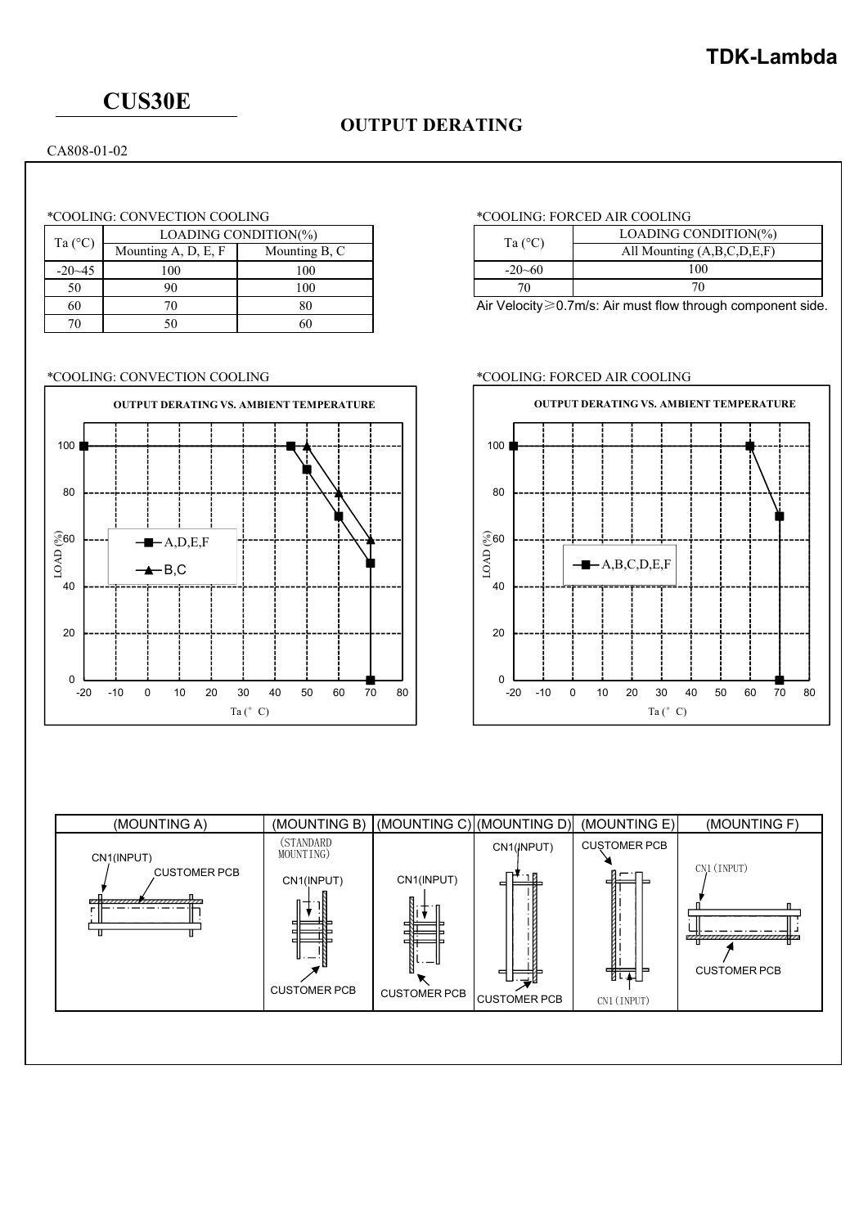# **CUS30E**

## **OUTPUT DERATING**

CA808-01-02

### \*COOLING: CONVECTION COOLING \*COOLING: FORCED AIR COOLING

| Ta $(^{\circ}C)$ | LOADING CONDITION(%)           | Ta (°C)       |              |  |
|------------------|--------------------------------|---------------|--------------|--|
|                  | Mounting $A$ , $D$ , $E$ , $F$ | Mounting B, C |              |  |
| $-20-45$         | 100                            | 100           | $-20 - 60$   |  |
| 50               | 90                             | 100           |              |  |
| 60               |                                | 80            | Air Velocity |  |
| 70               |                                |               |              |  |



| Ta $(^{\circ}C)$ | LOADING CONDITION(%)       |
|------------------|----------------------------|
|                  | All Mounting (A,B,C,D,E,F) |
| $-20 - 60$       | 100                        |
|                  |                            |

Air Velocity≥0.7m/s: Air must flow through component side.

### \*COOLING: CONVECTION COOLING \*COOLING: FORCED AIR COOLING